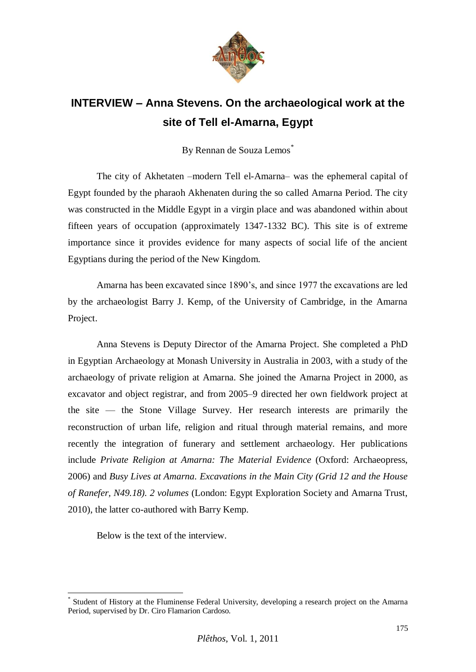

## **INTERVIEW – Anna Stevens. On the archaeological work at the site of Tell el-Amarna, Egypt**

By Rennan de Souza Lemos<sup>\*</sup>

The city of Akhetaten –modern Tell el-Amarna– was the ephemeral capital of Egypt founded by the pharaoh Akhenaten during the so called Amarna Period. The city was constructed in the Middle Egypt in a virgin place and was abandoned within about fifteen years of occupation (approximately 1347-1332 BC). This site is of extreme importance since it provides evidence for many aspects of social life of the ancient Egyptians during the period of the New Kingdom.

Amarna has been excavated since 1890's, and since 1977 the excavations are led by the archaeologist Barry J. Kemp, of the University of Cambridge, in the Amarna Project.

Anna Stevens is Deputy Director of the Amarna Project. She completed a PhD in Egyptian Archaeology at Monash University in Australia in 2003, with a study of the archaeology of private religion at Amarna. She joined the Amarna Project in 2000, as excavator and object registrar, and from 2005–9 directed her own fieldwork project at the site — the Stone Village Survey. Her research interests are primarily the reconstruction of urban life, religion and ritual through material remains, and more recently the integration of funerary and settlement archaeology. Her publications include *Private Religion at Amarna: The Material Evidence* (Oxford: Archaeopress, 2006) and *Busy Lives at Amarna. Excavations in the Main City (Grid 12 and the House of Ranefer, N49.18). 2 volumes* (London: Egypt Exploration Society and Amarna Trust, 2010), the latter co-authored with Barry Kemp.

Below is the text of the interview.

 $\overline{a}$ 

<sup>\*</sup> Student of History at the Fluminense Federal University, developing a research project on the Amarna Period, supervised by Dr. Ciro Flamarion Cardoso.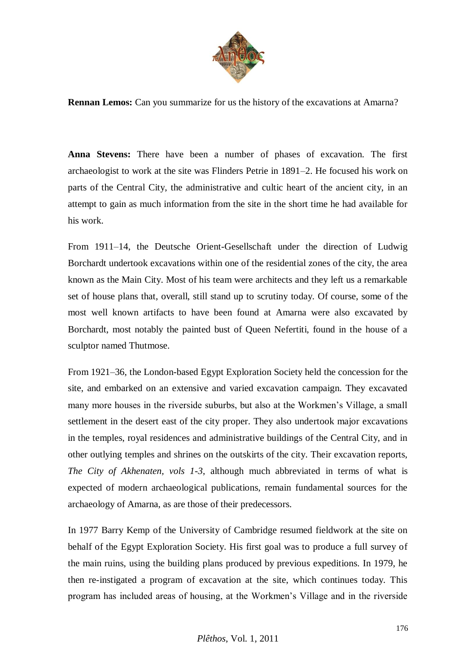

**Rennan Lemos:** Can you summarize for us the history of the excavations at Amarna?

**Anna Stevens:** There have been a number of phases of excavation. The first archaeologist to work at the site was Flinders Petrie in 1891–2. He focused his work on parts of the Central City, the administrative and cultic heart of the ancient city, in an attempt to gain as much information from the site in the short time he had available for his work.

From 1911–14, the Deutsche Orient-Gesellschaft under the direction of Ludwig Borchardt undertook excavations within one of the residential zones of the city, the area known as the Main City. Most of his team were architects and they left us a remarkable set of house plans that, overall, still stand up to scrutiny today. Of course, some of the most well known artifacts to have been found at Amarna were also excavated by Borchardt, most notably the painted bust of Queen Nefertiti, found in the house of a sculptor named Thutmose.

From 1921–36, the London-based Egypt Exploration Society held the concession for the site, and embarked on an extensive and varied excavation campaign. They excavated many more houses in the riverside suburbs, but also at the Workmen's Village, a small settlement in the desert east of the city proper. They also undertook major excavations in the temples, royal residences and administrative buildings of the Central City, and in other outlying temples and shrines on the outskirts of the city. Their excavation reports, *The City of Akhenaten, vols 1-3*, although much abbreviated in terms of what is expected of modern archaeological publications, remain fundamental sources for the archaeology of Amarna, as are those of their predecessors.

In 1977 Barry Kemp of the University of Cambridge resumed fieldwork at the site on behalf of the Egypt Exploration Society. His first goal was to produce a full survey of the main ruins, using the building plans produced by previous expeditions. In 1979, he then re-instigated a program of excavation at the site, which continues today. This program has included areas of housing, at the Workmen's Village and in the riverside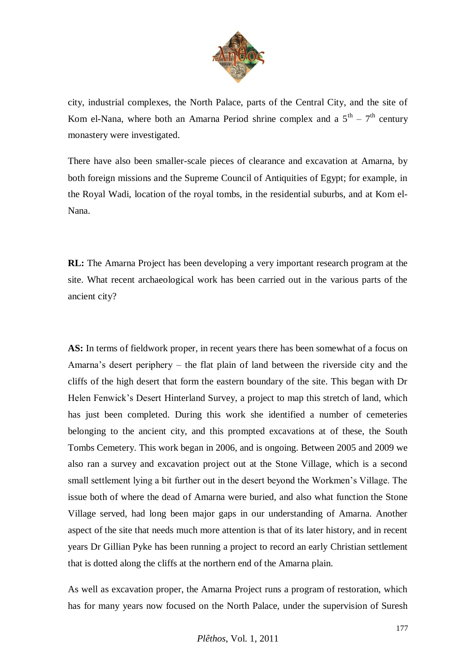

city, industrial complexes, the North Palace, parts of the Central City, and the site of Kom el-Nana, where both an Amarna Period shrine complex and a  $5<sup>th</sup> - 7<sup>th</sup>$  century monastery were investigated.

There have also been smaller-scale pieces of clearance and excavation at Amarna, by both foreign missions and the Supreme Council of Antiquities of Egypt; for example, in the Royal Wadi, location of the royal tombs, in the residential suburbs, and at Kom el-Nana.

**RL:** The Amarna Project has been developing a very important research program at the site. What recent archaeological work has been carried out in the various parts of the ancient city?

**AS:** In terms of fieldwork proper, in recent years there has been somewhat of a focus on Amarna's desert periphery – the flat plain of land between the riverside city and the cliffs of the high desert that form the eastern boundary of the site. This began with Dr Helen Fenwick's Desert Hinterland Survey, a project to map this stretch of land, which has just been completed. During this work she identified a number of cemeteries belonging to the ancient city, and this prompted excavations at of these, the South Tombs Cemetery. This work began in 2006, and is ongoing. Between 2005 and 2009 we also ran a survey and excavation project out at the Stone Village, which is a second small settlement lying a bit further out in the desert beyond the Workmen's Village. The issue both of where the dead of Amarna were buried, and also what function the Stone Village served, had long been major gaps in our understanding of Amarna. Another aspect of the site that needs much more attention is that of its later history, and in recent years Dr Gillian Pyke has been running a project to record an early Christian settlement that is dotted along the cliffs at the northern end of the Amarna plain.

As well as excavation proper, the Amarna Project runs a program of restoration, which has for many years now focused on the North Palace, under the supervision of Suresh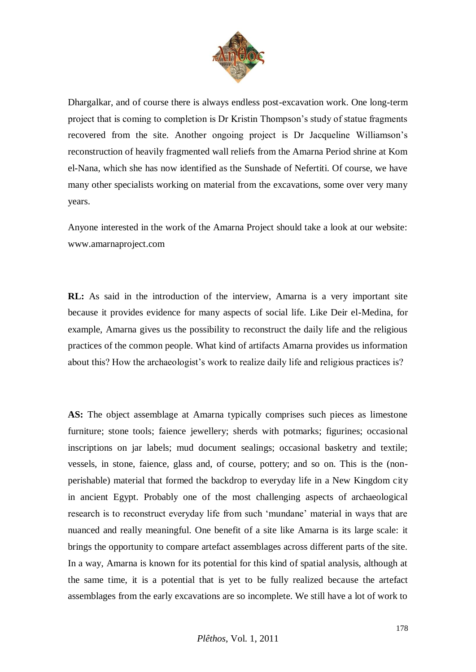

Dhargalkar, and of course there is always endless post-excavation work. One long-term project that is coming to completion is Dr Kristin Thompson's study of statue fragments recovered from the site. Another ongoing project is Dr Jacqueline Williamson's reconstruction of heavily fragmented wall reliefs from the Amarna Period shrine at Kom el-Nana, which she has now identified as the Sunshade of Nefertiti. Of course, we have many other specialists working on material from the excavations, some over very many years.

Anyone interested in the work of the Amarna Project should take a look at our website: www.amarnaproject.com

**RL:** As said in the introduction of the interview, Amarna is a very important site because it provides evidence for many aspects of social life. Like Deir el-Medina, for example, Amarna gives us the possibility to reconstruct the daily life and the religious practices of the common people. What kind of artifacts Amarna provides us information about this? How the archaeologist's work to realize daily life and religious practices is?

**AS:** The object assemblage at Amarna typically comprises such pieces as limestone furniture; stone tools; faience jewellery; sherds with potmarks; figurines; occasional inscriptions on jar labels; mud document sealings; occasional basketry and textile; vessels, in stone, faience, glass and, of course, pottery; and so on. This is the (nonperishable) material that formed the backdrop to everyday life in a New Kingdom city in ancient Egypt. Probably one of the most challenging aspects of archaeological research is to reconstruct everyday life from such 'mundane' material in ways that are nuanced and really meaningful. One benefit of a site like Amarna is its large scale: it brings the opportunity to compare artefact assemblages across different parts of the site. In a way, Amarna is known for its potential for this kind of spatial analysis, although at the same time, it is a potential that is yet to be fully realized because the artefact assemblages from the early excavations are so incomplete. We still have a lot of work to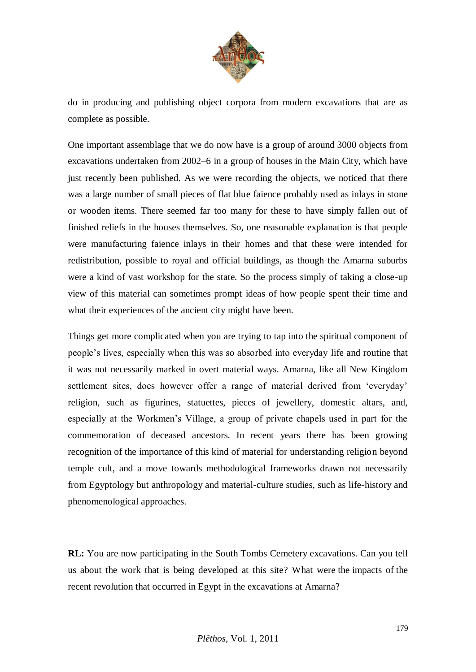

do in producing and publishing object corpora from modern excavations that are as complete as possible.

One important assemblage that we do now have is a group of around 3000 objects from excavations undertaken from 2002–6 in a group of houses in the Main City, which have just recently been published. As we were recording the objects, we noticed that there was a large number of small pieces of flat blue faience probably used as inlays in stone or wooden items. There seemed far too many for these to have simply fallen out of finished reliefs in the houses themselves. So, one reasonable explanation is that people were manufacturing faience inlays in their homes and that these were intended for redistribution, possible to royal and official buildings, as though the Amarna suburbs were a kind of vast workshop for the state. So the process simply of taking a close-up view of this material can sometimes prompt ideas of how people spent their time and what their experiences of the ancient city might have been.

Things get more complicated when you are trying to tap into the spiritual component of people's lives, especially when this was so absorbed into everyday life and routine that it was not necessarily marked in overt material ways. Amarna, like all New Kingdom settlement sites, does however offer a range of material derived from 'everyday' religion, such as figurines, statuettes, pieces of jewellery, domestic altars, and, especially at the Workmen's Village, a group of private chapels used in part for the commemoration of deceased ancestors. In recent years there has been growing recognition of the importance of this kind of material for understanding religion beyond temple cult, and a move towards methodological frameworks drawn not necessarily from Egyptology but anthropology and material-culture studies, such as life-history and phenomenological approaches.

**RL:** You are now participating in the South Tombs Cemetery excavations. Can you tell us about the work that is being developed at this site? What were the impacts of the recent revolution that occurred in Egypt in the excavations at Amarna?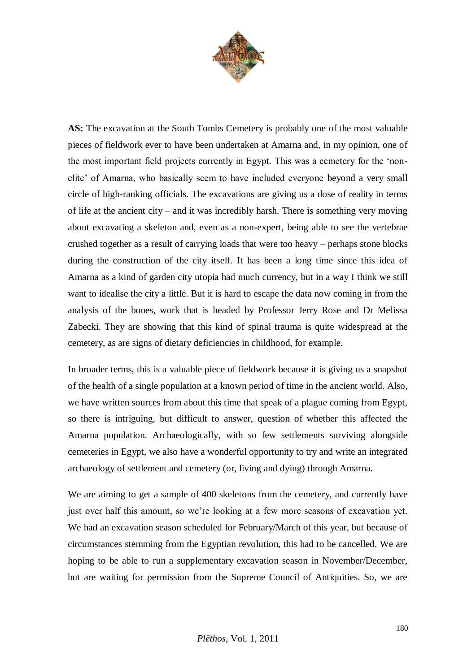

**AS:** The excavation at the South Tombs Cemetery is probably one of the most valuable pieces of fieldwork ever to have been undertaken at Amarna and, in my opinion, one of the most important field projects currently in Egypt. This was a cemetery for the 'nonelite' of Amarna, who basically seem to have included everyone beyond a very small circle of high-ranking officials. The excavations are giving us a dose of reality in terms of life at the ancient city – and it was incredibly harsh. There is something very moving about excavating a skeleton and, even as a non-expert, being able to see the vertebrae crushed together as a result of carrying loads that were too heavy – perhaps stone blocks during the construction of the city itself. It has been a long time since this idea of Amarna as a kind of garden city utopia had much currency, but in a way I think we still want to idealise the city a little. But it is hard to escape the data now coming in from the analysis of the bones, work that is headed by Professor Jerry Rose and Dr Melissa Zabecki. They are showing that this kind of spinal trauma is quite widespread at the cemetery, as are signs of dietary deficiencies in childhood, for example.

In broader terms, this is a valuable piece of fieldwork because it is giving us a snapshot of the health of a single population at a known period of time in the ancient world. Also, we have written sources from about this time that speak of a plague coming from Egypt, so there is intriguing, but difficult to answer, question of whether this affected the Amarna population. Archaeologically, with so few settlements surviving alongside cemeteries in Egypt, we also have a wonderful opportunity to try and write an integrated archaeology of settlement and cemetery (or, living and dying) through Amarna.

We are aiming to get a sample of 400 skeletons from the cemetery, and currently have just over half this amount, so we're looking at a few more seasons of excavation yet. We had an excavation season scheduled for February/March of this year, but because of circumstances stemming from the Egyptian revolution, this had to be cancelled. We are hoping to be able to run a supplementary excavation season in November/December, but are waiting for permission from the Supreme Council of Antiquities. So, we are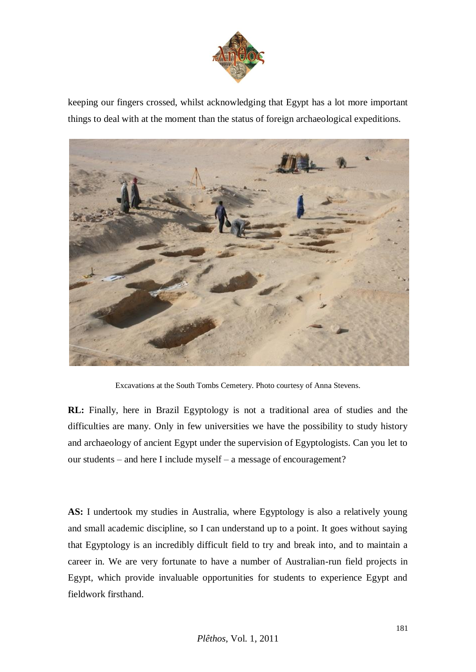

keeping our fingers crossed, whilst acknowledging that Egypt has a lot more important things to deal with at the moment than the status of foreign archaeological expeditions.



Excavations at the South Tombs Cemetery. Photo courtesy of Anna Stevens.

**RL:** Finally, here in Brazil Egyptology is not a traditional area of studies and the difficulties are many. Only in few universities we have the possibility to study history and archaeology of ancient Egypt under the supervision of Egyptologists. Can you let to our students – and here I include myself – a message of encouragement?

AS: I undertook my studies in Australia, where Egyptology is also a relatively young and small academic discipline, so I can understand up to a point. It goes without saying that Egyptology is an incredibly difficult field to try and break into, and to maintain a career in. We are very fortunate to have a number of Australian-run field projects in Egypt, which provide invaluable opportunities for students to experience Egypt and fieldwork firsthand.